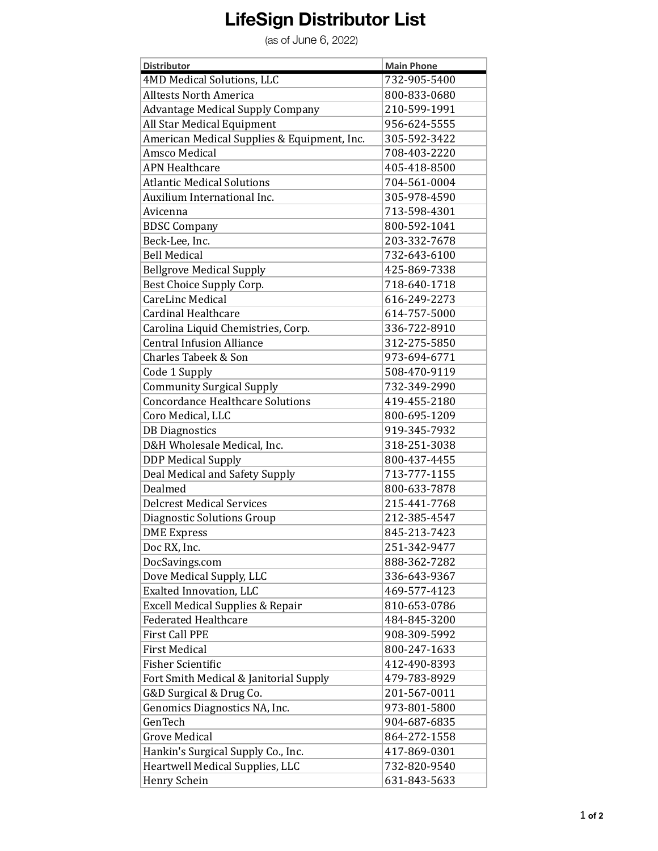## **LifeSign Distributor List**

(as of June 6, 2022)

| <b>Distributor</b>                          | <b>Main Phone</b> |
|---------------------------------------------|-------------------|
| 4MD Medical Solutions, LLC                  | 732-905-5400      |
| <b>Alltests North America</b>               | 800-833-0680      |
| <b>Advantage Medical Supply Company</b>     | 210-599-1991      |
| All Star Medical Equipment                  | 956-624-5555      |
| American Medical Supplies & Equipment, Inc. | 305-592-3422      |
| <b>Amsco Medical</b>                        | 708-403-2220      |
| <b>APN Healthcare</b>                       | 405-418-8500      |
| <b>Atlantic Medical Solutions</b>           | 704-561-0004      |
| Auxilium International Inc.                 | 305-978-4590      |
| Avicenna                                    | 713-598-4301      |
| <b>BDSC Company</b>                         | 800-592-1041      |
| Beck-Lee, Inc.                              | 203-332-7678      |
| <b>Bell Medical</b>                         | 732-643-6100      |
| <b>Bellgrove Medical Supply</b>             | 425-869-7338      |
| Best Choice Supply Corp.                    | 718-640-1718      |
| CareLinc Medical                            | 616-249-2273      |
| <b>Cardinal Healthcare</b>                  | 614-757-5000      |
| Carolina Liquid Chemistries, Corp.          | 336-722-8910      |
| <b>Central Infusion Alliance</b>            | 312-275-5850      |
| Charles Tabeek & Son                        | 973-694-6771      |
| Code 1 Supply                               | 508-470-9119      |
| <b>Community Surgical Supply</b>            | 732-349-2990      |
| <b>Concordance Healthcare Solutions</b>     | 419-455-2180      |
| Coro Medical, LLC                           | 800-695-1209      |
| <b>DB</b> Diagnostics                       | 919-345-7932      |
| D&H Wholesale Medical, Inc.                 | 318-251-3038      |
| <b>DDP Medical Supply</b>                   | 800-437-4455      |
| Deal Medical and Safety Supply              | 713-777-1155      |
| Dealmed                                     | 800-633-7878      |
| <b>Delcrest Medical Services</b>            | 215-441-7768      |
| <b>Diagnostic Solutions Group</b>           | 212-385-4547      |
| <b>DME</b> Express                          | 845-213-7423      |
| Doc RX, Inc.                                | 251-342-9477      |
| DocSavings.com                              | 888-362-7282      |
| Dove Medical Supply, LLC                    | 336-643-9367      |
| Exalted Innovation, LLC                     | 469-577-4123      |
| <b>Excell Medical Supplies &amp; Repair</b> | 810-653-0786      |
| <b>Federated Healthcare</b>                 | 484-845-3200      |
| <b>First Call PPE</b>                       | 908-309-5992      |
|                                             |                   |
| <b>First Medical</b>                        | 800-247-1633      |
| <b>Fisher Scientific</b>                    | 412-490-8393      |
| Fort Smith Medical & Janitorial Supply      | 479-783-8929      |
| G&D Surgical & Drug Co.                     | 201-567-0011      |
| Genomics Diagnostics NA, Inc.               | 973-801-5800      |
| GenTech                                     | 904-687-6835      |
| <b>Grove Medical</b>                        | 864-272-1558      |
| Hankin's Surgical Supply Co., Inc.          | 417-869-0301      |
| Heartwell Medical Supplies, LLC             | 732-820-9540      |
| Henry Schein                                | 631-843-5633      |